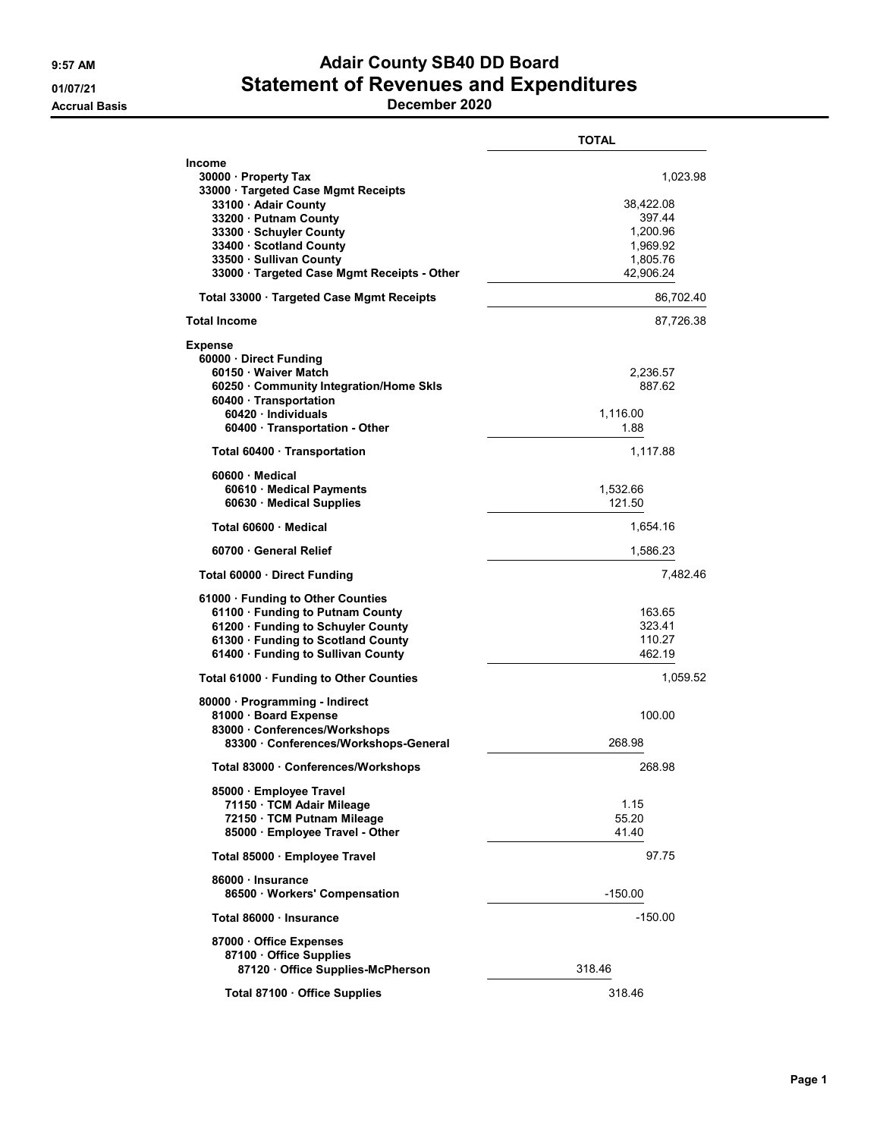## 9:57 AM **Adair County SB40 DD Board** 01/07/21 Statement of Revenues and Expenditures

Accrual Basis December 2020

|                                                                                                                                                                                                                                                        | <b>TOTAL</b>                                                                     |
|--------------------------------------------------------------------------------------------------------------------------------------------------------------------------------------------------------------------------------------------------------|----------------------------------------------------------------------------------|
| Income<br>30000 · Property Tax<br>33000 · Targeted Case Mgmt Receipts<br>33100 · Adair County<br>33200 · Putnam County<br>33300 · Schuyler County<br>33400 · Scotland County<br>33500 · Sullivan County<br>33000 · Targeted Case Mgmt Receipts - Other | 1,023.98<br>38,422.08<br>397.44<br>1,200.96<br>1,969.92<br>1,805.76<br>42,906.24 |
| Total 33000 · Targeted Case Mgmt Receipts                                                                                                                                                                                                              | 86,702.40                                                                        |
| <b>Total Income</b>                                                                                                                                                                                                                                    | 87,726.38                                                                        |
| <b>Expense</b><br>60000 · Direct Funding<br>60150 Waiver Match<br>60250 · Community Integration/Home Skls<br>60400 · Transportation<br>60420 · Individuals<br>60400 · Transportation - Other                                                           | 2,236.57<br>887.62<br>1,116.00<br>1.88                                           |
| Total 60400 Transportation                                                                                                                                                                                                                             | 1,117.88                                                                         |
| $60600 \cdot$ Medical<br>60610 Medical Payments<br>60630 Medical Supplies                                                                                                                                                                              | 1,532.66<br>121.50                                                               |
| Total 60600 Medical                                                                                                                                                                                                                                    | 1,654.16                                                                         |
| 60700 General Relief                                                                                                                                                                                                                                   | 1,586.23                                                                         |
| Total 60000 Direct Funding                                                                                                                                                                                                                             | 7,482.46                                                                         |
| 61000 · Funding to Other Counties<br>61100 · Funding to Putnam County<br>61200 · Funding to Schuyler County<br>61300 · Funding to Scotland County<br>61400 · Funding to Sullivan County                                                                | 163.65<br>323.41<br>110.27<br>462.19                                             |
| Total 61000 · Funding to Other Counties                                                                                                                                                                                                                | 1,059.52                                                                         |
| 80000 · Programming - Indirect<br>81000 · Board Expense<br>83000 · Conferences/Workshops<br>83300 Conferences/Workshops-General                                                                                                                        | 100.00<br>268.98                                                                 |
| Total 83000 Conferences/Workshops                                                                                                                                                                                                                      | 268.98                                                                           |
| 85000 · Employee Travel<br>71150 TCM Adair Mileage<br>72150 · TCM Putnam Mileage<br>85000 · Employee Travel - Other                                                                                                                                    | 1.15<br>55.20<br>41.40                                                           |
| Total 85000 · Employee Travel                                                                                                                                                                                                                          | 97.75                                                                            |
| 86000 · Insurance<br>86500 · Workers' Compensation                                                                                                                                                                                                     | $-150.00$                                                                        |
| Total 86000 Insurance                                                                                                                                                                                                                                  | $-150.00$                                                                        |
| 87000 Office Expenses<br>87100 Office Supplies<br>87120 Office Supplies-McPherson                                                                                                                                                                      | 318.46                                                                           |
| Total 87100 · Office Supplies                                                                                                                                                                                                                          | 318.46                                                                           |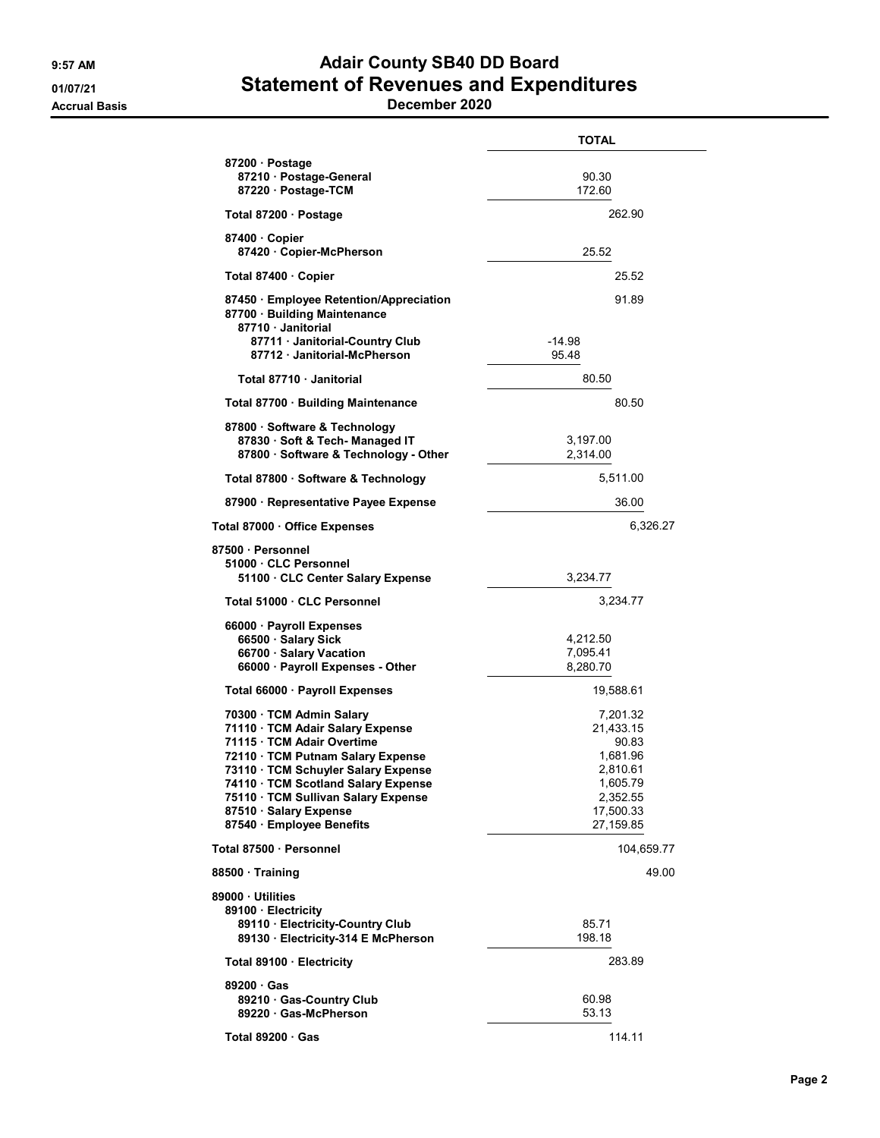## 9:57 AM **Adair County SB40 DD Board** 01/07/21 Statement of Revenues and Expenditures

Accrual Basis December 2020

|                                                                                                                                                                                                                                                                                                         | <b>TOTAL</b>                                                                                             |
|---------------------------------------------------------------------------------------------------------------------------------------------------------------------------------------------------------------------------------------------------------------------------------------------------------|----------------------------------------------------------------------------------------------------------|
| 87200 · Postage<br>87210 · Postage-General<br>87220 · Postage-TCM                                                                                                                                                                                                                                       | 90.30<br>172.60                                                                                          |
| Total 87200 · Postage                                                                                                                                                                                                                                                                                   | 262.90                                                                                                   |
| 87400 Copier<br>87420 Copier-McPherson                                                                                                                                                                                                                                                                  | 25.52                                                                                                    |
| Total 87400 · Copier                                                                                                                                                                                                                                                                                    | 25.52                                                                                                    |
| 87450 Employee Retention/Appreciation<br>87700 · Building Maintenance<br>87710 Janitorial<br>87711 · Janitorial-Country Club<br>87712 Janitorial-McPherson                                                                                                                                              | 91.89<br>-14.98<br>95.48                                                                                 |
| Total 87710 · Janitorial                                                                                                                                                                                                                                                                                | 80.50                                                                                                    |
| Total 87700 · Building Maintenance                                                                                                                                                                                                                                                                      | 80.50                                                                                                    |
| 87800 Software & Technology<br>87830 · Soft & Tech- Managed IT<br>87800 · Software & Technology - Other                                                                                                                                                                                                 | 3,197.00<br>2,314.00                                                                                     |
| Total 87800 · Software & Technology                                                                                                                                                                                                                                                                     | 5,511.00                                                                                                 |
| 87900 · Representative Payee Expense                                                                                                                                                                                                                                                                    | 36.00                                                                                                    |
| Total 87000 · Office Expenses                                                                                                                                                                                                                                                                           | 6,326.27                                                                                                 |
| 87500 · Personnel<br>51000 CLC Personnel<br>51100 CLC Center Salary Expense                                                                                                                                                                                                                             | 3,234.77                                                                                                 |
| Total 51000 · CLC Personnel                                                                                                                                                                                                                                                                             | 3,234.77                                                                                                 |
| 66000 · Payroll Expenses<br>66500 · Salary Sick<br>66700 · Salary Vacation<br>66000 · Payroll Expenses - Other                                                                                                                                                                                          | 4,212.50<br>7,095.41<br>8,280.70                                                                         |
| Total 66000 · Payroll Expenses                                                                                                                                                                                                                                                                          | 19,588.61                                                                                                |
| 70300 · TCM Admin Salary<br>71110 · TCM Adair Salary Expense<br>71115 · TCM Adair Overtime<br>72110 · TCM Putnam Salary Expense<br>73110 · TCM Schuyler Salary Expense<br>74110 TCM Scotland Salary Expense<br>75110 · TCM Sullivan Salary Expense<br>87510 · Salary Expense<br>87540 Employee Benefits | 7,201.32<br>21,433.15<br>90.83<br>1,681.96<br>2,810.61<br>1,605.79<br>2,352.55<br>17,500.33<br>27,159.85 |
| Total 87500 · Personnel                                                                                                                                                                                                                                                                                 | 104,659.77                                                                                               |
| 88500 Training                                                                                                                                                                                                                                                                                          | 49.00                                                                                                    |
| 89000 Utilities<br>89100 · Electricity<br>89110 · Electricity-Country Club<br>89130 · Electricity-314 E McPherson                                                                                                                                                                                       | 85.71<br>198.18                                                                                          |
| Total 89100 · Electricity                                                                                                                                                                                                                                                                               | 283.89                                                                                                   |
| 89200 Gas<br>89210 Gas-Country Club<br>89220 Gas-McPherson                                                                                                                                                                                                                                              | 60.98<br>53.13                                                                                           |
| Total 89200 Gas                                                                                                                                                                                                                                                                                         | 114.11                                                                                                   |